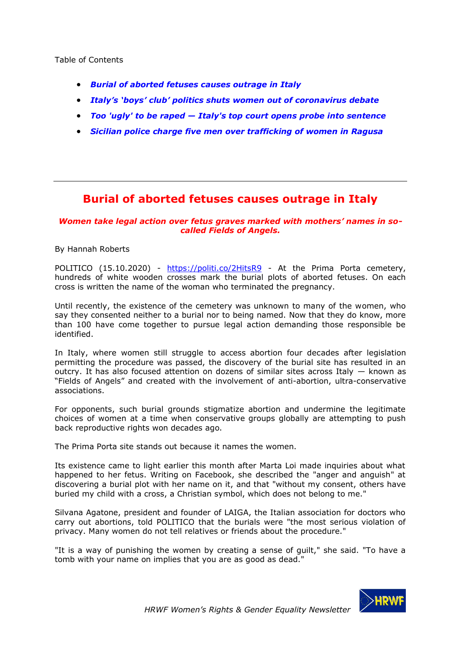Table of Contents

- *[Burial of aborted fetuses causes outrage in Italy](#page-0-0)*
- *[Italy's 'boys' club' politics shuts women out of coronavirus debate](#page-2-0)*
- *Too 'ugly' to be raped — [Italy's top court opens probe into sentence](#page-6-0)*
- *[Sicilian police charge five men over trafficking of women in Ragusa](#page-7-0)*

# <span id="page-0-0"></span>**Burial of aborted fetuses causes outrage in Italy**

### *Women take legal action over fetus graves marked with mothers' names in socalled Fields of Angels.*

By Hannah Roberts

POLITICO (15.10.2020) - <https://politi.co/2HitsR9> - At the Prima Porta cemetery, hundreds of white wooden crosses mark the burial plots of aborted fetuses. On each cross is written the name of the woman who terminated the pregnancy.

Until recently, the existence of the cemetery was unknown to many of the women, who say they consented neither to a burial nor to being named. Now that they do know, more than 100 have come together to pursue legal action demanding those responsible be identified.

In Italy, where women still struggle to access abortion four decades after legislation permitting the procedure was passed, the discovery of the burial site has resulted in an outcry. It has also focused attention on dozens of similar sites across Italy  $-$  known as "Fields of Angels" and created with the involvement of anti-abortion, ultra-conservative associations.

For opponents, such burial grounds stigmatize abortion and undermine the legitimate choices of women at a time when conservative groups globally are attempting to push back reproductive rights won decades ago.

The Prima Porta site stands out because it names the women.

Its existence came to light earlier this month after Marta Loi made inquiries about what happened to her fetus. Writing on Facebook, she described the "anger and anguish" at discovering a burial plot with her name on it, and that "without my consent, others have buried my child with a cross, a Christian symbol, which does not belong to me."

Silvana Agatone, president and founder of LAIGA, the Italian association for doctors who carry out abortions, told POLITICO that the burials were "the most serious violation of privacy. Many women do not tell relatives or friends about the procedure."

"It is a way of punishing the women by creating a sense of guilt," she said. "To have a tomb with your name on implies that you are as good as dead."

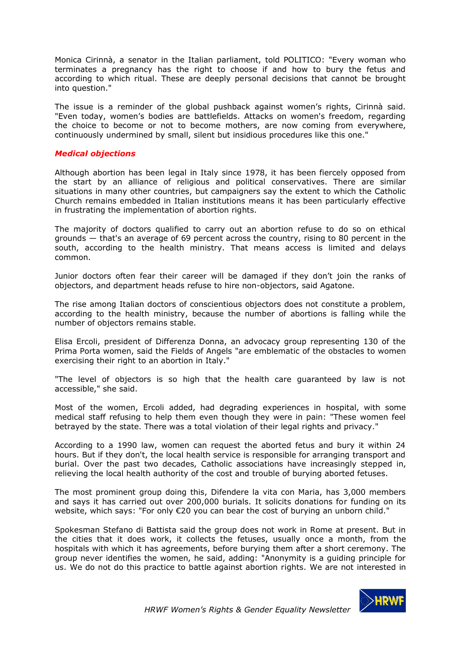Monica Cirinnà, a senator in the Italian parliament, told POLITICO: "Every woman who terminates a pregnancy has the right to choose if and how to bury the fetus and according to which ritual. These are deeply personal decisions that cannot be brought into question."

The issue is a reminder of the global pushback against women's rights, Cirinnà said. "Even today, women's bodies are battlefields. Attacks on women's freedom, regarding the choice to become or not to become mothers, are now coming from everywhere, continuously undermined by small, silent but insidious procedures like this one."

#### *Medical objections*

Although abortion has been legal in Italy since 1978, it has been fiercely opposed from the start by an alliance of religious and political conservatives. There are similar situations in many other countries, but campaigners say the extent to which the Catholic Church remains embedded in Italian institutions means it has been particularly effective in frustrating the implementation of abortion rights.

The majority of doctors qualified to carry out an abortion refuse to do so on ethical grounds — that's an average of 69 percent across the country, rising to 80 percent in the south, according to the health ministry. That means access is limited and delays common.

Junior doctors often fear their career will be damaged if they don't join the ranks of objectors, and department heads refuse to hire non-objectors, said Agatone.

The rise among Italian doctors of conscientious objectors does not constitute a problem, according to the health ministry, because the number of abortions is falling while the number of objectors remains stable.

Elisa Ercoli, president of Differenza Donna, an advocacy group representing 130 of the Prima Porta women, said the Fields of Angels "are emblematic of the obstacles to women exercising their right to an abortion in Italy."

"The level of objectors is so high that the health care guaranteed by law is not accessible," she said.

Most of the women, Ercoli added, had degrading experiences in hospital, with some medical staff refusing to help them even though they were in pain: "These women feel betrayed by the state. There was a total violation of their legal rights and privacy."

According to a 1990 law, women can request the aborted fetus and bury it within 24 hours. But if they don't, the local health service is responsible for arranging transport and burial. Over the past two decades, Catholic associations have increasingly stepped in, relieving the local health authority of the cost and trouble of burying aborted fetuses.

The most prominent group doing this, Difendere la vita con Maria, has 3,000 members and says it has carried out over 200,000 burials. It solicits donations for funding on its website, which says: "For only €20 you can bear the cost of burying an unborn child."

Spokesman Stefano di Battista said the group does not work in Rome at present. But in the cities that it does work, it collects the fetuses, usually once a month, from the hospitals with which it has agreements, before burying them after a short ceremony. The group never identifies the women, he said, adding: "Anonymity is a guiding principle for us. We do not do this practice to battle against abortion rights. We are not interested in

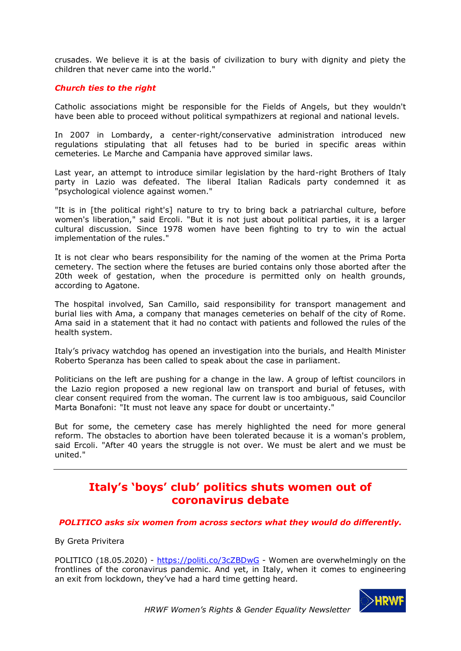crusades. We believe it is at the basis of civilization to bury with dignity and piety the children that never came into the world."

#### *Church ties to the right*

Catholic associations might be responsible for the Fields of Angels, but they wouldn't have been able to proceed without political sympathizers at regional and national levels.

In 2007 in Lombardy, a center-right/conservative administration introduced new regulations stipulating that all fetuses had to be buried in specific areas within cemeteries. Le Marche and Campania have approved similar laws.

Last year, an attempt to introduce similar legislation by the hard-right Brothers of Italy party in Lazio was defeated. The liberal Italian Radicals party condemned it as "psychological violence against women."

"It is in [the political right's] nature to try to bring back a patriarchal culture, before women's liberation," said Ercoli. "But it is not just about political parties, it is a larger cultural discussion. Since 1978 women have been fighting to try to win the actual implementation of the rules."

It is not clear who bears responsibility for the naming of the women at the Prima Porta cemetery. The section where the fetuses are buried contains only those aborted after the 20th week of gestation, when the procedure is permitted only on health grounds, according to Agatone.

The hospital involved, San Camillo, said responsibility for transport management and burial lies with Ama, a company that manages cemeteries on behalf of the city of Rome. Ama said in a statement that it had no contact with patients and followed the rules of the health system.

Italy's privacy watchdog has opened an investigation into the burials, and Health Minister Roberto Speranza has been called to speak about the case in parliament.

Politicians on the left are pushing for a change in the law. A group of leftist councilors in the Lazio region proposed a new regional law on transport and burial of fetuses, with clear consent required from the woman. The current law is too ambiguous, said Councilor Marta Bonafoni: "It must not leave any space for doubt or uncertainty."

But for some, the cemetery case has merely highlighted the need for more general reform. The obstacles to abortion have been tolerated because it is a woman's problem, said Ercoli. "After 40 years the struggle is not over. We must be alert and we must be united."

# <span id="page-2-0"></span>**Italy's 'boys' club' politics shuts women out of coronavirus debate**

#### *POLITICO asks six women from across sectors what they would do differently.*

By Greta Privitera

POLITICO (18.05.2020) - <https://politi.co/3cZBDwG> - Women are overwhelmingly on the frontlines of the coronavirus pandemic. And yet, in Italy, when it comes to engineering an exit from lockdown, they've had a hard time getting heard.

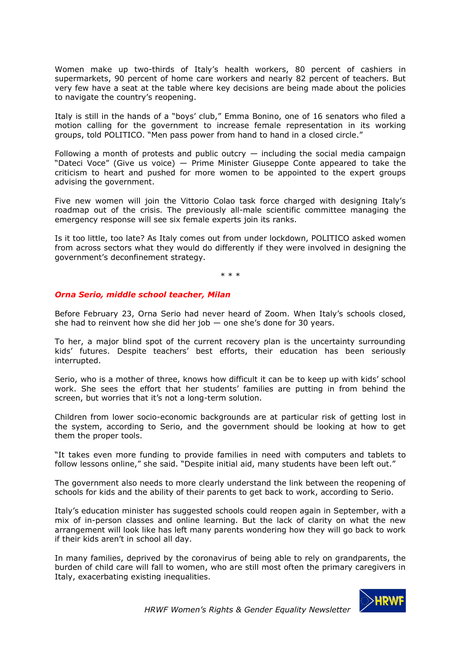Women make up two-thirds of Italy's health workers, 80 percent of cashiers in supermarkets, 90 percent of home care workers and nearly 82 percent of teachers. But very few have a seat at the table where key decisions are being made about the policies to navigate the country's reopening.

Italy is still in the hands of a "boys' club," Emma Bonino, one of 16 senators who filed a motion calling for the government to increase female representation in its working groups, told POLITICO. "Men pass power from hand to hand in a closed circle."

Following a month of protests and public outcry  $-$  including the social media campaign "Dateci Voce" (Give us voice)  $-$  Prime Minister Giuseppe Conte appeared to take the criticism to heart and pushed for more women to be appointed to the expert groups advising the government.

Five new women will join the Vittorio Colao task force charged with designing Italy's roadmap out of the crisis. The previously all-male scientific committee managing the emergency response will see six female experts join its ranks.

Is it too little, too late? As Italy comes out from under lockdown, POLITICO asked women from across sectors what they would do differently if they were involved in designing the government's deconfinement strategy.

\* \* \*

### *Orna Serio, middle school teacher, Milan*

Before February 23, Orna Serio had never heard of Zoom. When Italy's schools closed, she had to reinvent how she did her job  $-$  one she's done for 30 years.

To her, a major blind spot of the current recovery plan is the uncertainty surrounding kids' futures. Despite teachers' best efforts, their education has been seriously interrupted.

Serio, who is a mother of three, knows how difficult it can be to keep up with kids' school work. She sees the effort that her students' families are putting in from behind the screen, but worries that it's not a long-term solution.

Children from lower socio-economic backgrounds are at particular risk of getting lost in the system, according to Serio, and the government should be looking at how to get them the proper tools.

"It takes even more funding to provide families in need with computers and tablets to follow lessons online," she said. "Despite initial aid, many students have been left out."

The government also needs to more clearly understand the link between the reopening of schools for kids and the ability of their parents to get back to work, according to Serio.

Italy's education minister has suggested schools could reopen again in September, with a mix of in-person classes and online learning. But the lack of clarity on what the new arrangement will look like has left many parents wondering how they will go back to work if their kids aren't in school all day.

In many families, deprived by the coronavirus of being able to rely on grandparents, the burden of child care will fall to women, who are still most often the primary caregivers in Italy, exacerbating existing inequalities.

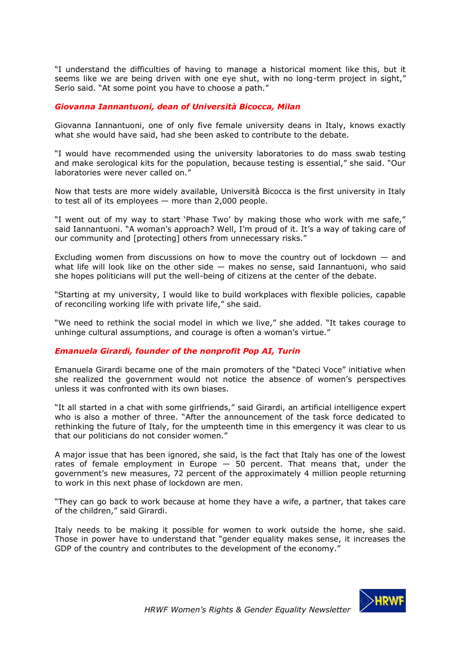"I understand the difficulties of having to manage a historical moment like this, but it seems like we are being driven with one eye shut, with no long-term project in sight," Serio said. "At some point you have to choose a path."

#### *Giovanna Iannantuoni, dean of Università Bicocca, Milan*

Giovanna Iannantuoni, one of only five female university deans in Italy, knows exactly what she would have said, had she been asked to contribute to the debate.

"I would have recommended using the university laboratories to do mass swab testing and make serological kits for the population, because testing is essential," she said. "Our laboratories were never called on."

Now that tests are more widely available, Università Bicocca is the first university in Italy to test all of its employees — more than 2,000 people.

"I went out of my way to start 'Phase Two' by making those who work with me safe," said Iannantuoni. "A woman's approach? Well, I'm proud of it. It's a way of taking care of our community and [protecting] others from unnecessary risks."

Excluding women from discussions on how to move the country out of lockdown  $-$  and what life will look like on the other side  $-$  makes no sense, said Iannantuoni, who said she hopes politicians will put the well-being of citizens at the center of the debate.

"Starting at my university, I would like to build workplaces with flexible policies, capable of reconciling working life with private life," she said.

"We need to rethink the social model in which we live," she added. "It takes courage to unhinge cultural assumptions, and courage is often a woman's virtue."

#### *Emanuela Girardi, founder of the nonprofit Pop AI, Turin*

Emanuela Girardi became one of the main promoters of the "Dateci Voce" initiative when she realized the government would not notice the absence of women's perspectives unless it was confronted with its own biases.

"It all started in a chat with some girlfriends," said Girardi, an artificial intelligence expert who is also a mother of three. "After the announcement of the task force dedicated to rethinking the future of Italy, for the umpteenth time in this emergency it was clear to us that our politicians do not consider women."

A major issue that has been ignored, she said, is the fact that Italy has one of the lowest rates of female employment in Europe  $-50$  percent. That means that, under the government's new measures, 72 percent of the approximately 4 million people returning to work in this next phase of lockdown are men.

"They can go back to work because at home they have a wife, a partner, that takes care of the children," said Girardi.

Italy needs to be making it possible for women to work outside the home, she said. Those in power have to understand that "gender equality makes sense, it increases the GDP of the country and contributes to the development of the economy."

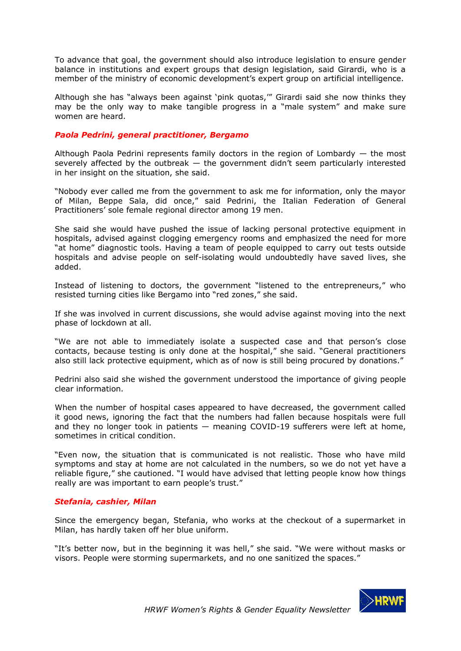To advance that goal, the government should also introduce legislation to ensure gender balance in institutions and expert groups that design legislation, said Girardi, who is a member of the ministry of economic development's expert group on artificial intelligence.

Although she has "always been against 'pink quotas,'" Girardi said she now thinks they may be the only way to make tangible progress in a "male system" and make sure women are heard.

## *Paola Pedrini, general practitioner, Bergamo*

Although Paola Pedrini represents family doctors in the region of Lombardy — the most severely affected by the outbreak  $-$  the government didn't seem particularly interested in her insight on the situation, she said.

"Nobody ever called me from the government to ask me for information, only the mayor of Milan, Beppe Sala, did once," said Pedrini, the Italian Federation of General Practitioners' sole female regional director among 19 men.

She said she would have pushed the issue of lacking personal protective equipment in hospitals, advised against clogging emergency rooms and emphasized the need for more "at home" diagnostic tools. Having a team of people equipped to carry out tests outside hospitals and advise people on self-isolating would undoubtedly have saved lives, she added.

Instead of listening to doctors, the government "listened to the entrepreneurs," who resisted turning cities like Bergamo into "red zones," she said.

If she was involved in current discussions, she would advise against moving into the next phase of lockdown at all.

"We are not able to immediately isolate a suspected case and that person's close contacts, because testing is only done at the hospital," she said. "General practitioners also still lack protective equipment, which as of now is still being procured by donations."

Pedrini also said she wished the government understood the importance of giving people clear information.

When the number of hospital cases appeared to have decreased, the government called it good news, ignoring the fact that the numbers had fallen because hospitals were full and they no longer took in patients — meaning COVID-19 sufferers were left at home, sometimes in critical condition.

"Even now, the situation that is communicated is not realistic. Those who have mild symptoms and stay at home are not calculated in the numbers, so we do not yet have a reliable figure," she cautioned. "I would have advised that letting people know how things really are was important to earn people's trust."

#### *Stefania, cashier, Milan*

Since the emergency began, Stefania, who works at the checkout of a supermarket in Milan, has hardly taken off her blue uniform.

"It's better now, but in the beginning it was hell," she said. "We were without masks or visors. People were storming supermarkets, and no one sanitized the spaces."

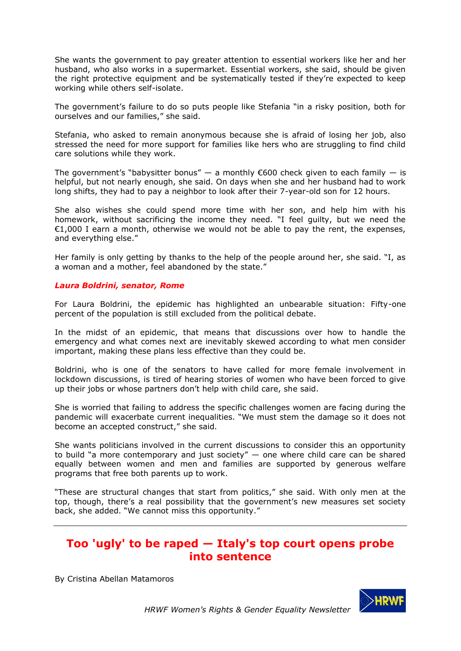She wants the government to pay greater attention to essential workers like her and her husband, who also works in a supermarket. Essential workers, she said, should be given the right protective equipment and be systematically tested if they're expected to keep working while others self-isolate.

The government's failure to do so puts people like Stefania "in a risky position, both for ourselves and our families," she said.

Stefania, who asked to remain anonymous because she is afraid of losing her job, also stressed the need for more support for families like hers who are struggling to find child care solutions while they work.

The government's "babysitter bonus"  $-$  a monthly  $\epsilon$ 600 check given to each family  $-$  is helpful, but not nearly enough, she said. On days when she and her husband had to work long shifts, they had to pay a neighbor to look after their 7-year-old son for 12 hours.

She also wishes she could spend more time with her son, and help him with his homework, without sacrificing the income they need. "I feel guilty, but we need the  $£1,000$  I earn a month, otherwise we would not be able to pay the rent, the expenses, and everything else."

Her family is only getting by thanks to the help of the people around her, she said. "I, as a woman and a mother, feel abandoned by the state."

#### *Laura Boldrini, senator, Rome*

For Laura Boldrini, the epidemic has highlighted an unbearable situation: Fifty-one percent of the population is still excluded from the political debate.

In the midst of an epidemic, that means that discussions over how to handle the emergency and what comes next are inevitably skewed according to what men consider important, making these plans less effective than they could be.

Boldrini, who is one of the senators to have called for more female involvement in lockdown discussions, is tired of hearing stories of women who have been forced to give up their jobs or whose partners don't help with child care, she said.

She is worried that failing to address the specific challenges women are facing during the pandemic will exacerbate current inequalities. "We must stem the damage so it does not become an accepted construct," she said.

She wants politicians involved in the current discussions to consider this an opportunity to build "a more contemporary and just society"  $-$  one where child care can be shared equally between women and men and families are supported by generous welfare programs that free both parents up to work.

"These are structural changes that start from politics," she said. With only men at the top, though, there's a real possibility that the government's new measures set society back, she added. "We cannot miss this opportunity."

## <span id="page-6-0"></span>**Too 'ugly' to be raped — Italy's top court opens probe into sentence**

By Cristina Abellan Matamoros

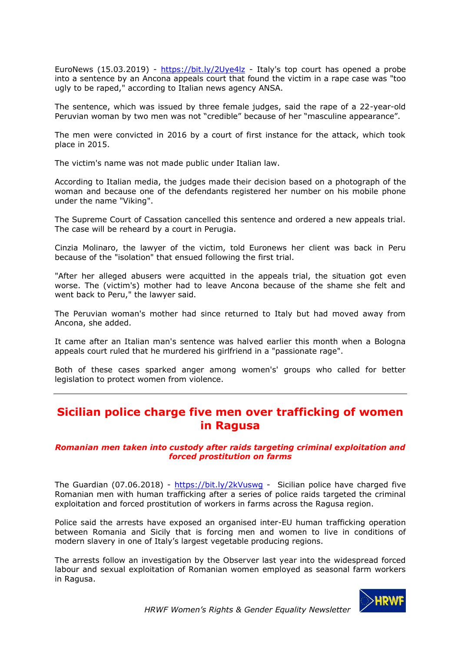EuroNews (15.03.2019) - <https://bit.ly/2Uye4lz> - Italy's top court has opened a probe into a sentence by an Ancona appeals court that found the victim in a rape case was "too ugly to be raped," according to Italian news agency ANSA.

The sentence, which was issued by three female judges, said the rape of a 22-year-old Peruvian woman by two men was not "credible" because of her "masculine appearance".

The men were convicted in 2016 by a court of first instance for the attack, which took place in 2015.

The victim's name was not made public under Italian law.

According to Italian media, the judges made their decision based on a photograph of the woman and because one of the defendants registered her number on his mobile phone under the name "Viking".

The Supreme Court of Cassation cancelled this sentence and ordered a new appeals trial. The case will be reheard by a court in Perugia.

Cinzia Molinaro, the lawyer of the victim, told Euronews her client was back in Peru because of the "isolation" that ensued following the first trial.

"After her alleged abusers were acquitted in the appeals trial, the situation got even worse. The (victim's) mother had to leave Ancona because of the shame she felt and went back to Peru," the lawyer said.

The Peruvian woman's mother had since returned to Italy but had moved away from Ancona, she added.

It came after an Italian man's sentence was halved earlier this month when a Bologna appeals court ruled that he murdered his girlfriend in a "passionate rage".

Both of these cases sparked anger among women's' groups who called for better legislation to protect women from violence.

# <span id="page-7-0"></span>**Sicilian police charge five men over trafficking of women in Ragusa**

### *Romanian men taken into custody after raids targeting criminal exploitation and forced prostitution on farms*

The Guardian (07.06.2018) - <https://bit.ly/2kVuswg> - Sicilian police have charged five Romanian men with human trafficking after a series of police raids targeted the criminal exploitation and forced prostitution of workers in farms across the Ragusa region.

Police said the arrests have exposed an organised inter-EU human trafficking operation between Romania and Sicily that is forcing men and women to live in conditions of modern slavery in one of Italy's largest vegetable producing regions.

The arrests follow an investigation by the Observer last year into the widespread forced labour and sexual exploitation of Romanian women employed as seasonal farm workers in Ragusa.